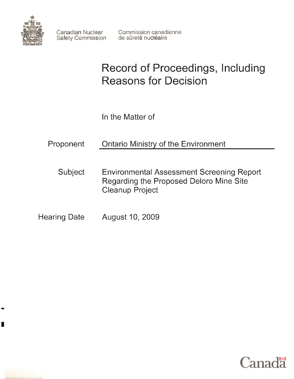

# **Record of Proceedings, Including Reasons for Decision**

In the Matter of

- Proponent Ontario Ministry of the Environment
	- Subject Environmental Assessment Screening Report Regarding the Proposed Deloro Mine Site Cleanup Project
- Hearing Date August 10, 2009





-

•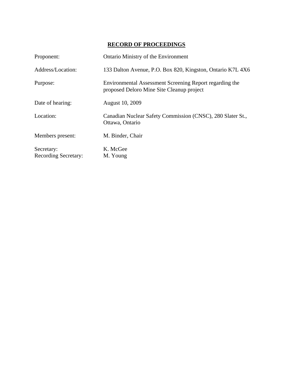# **RECORD OF PROCEEDINGS**

| Proponent:                                | Ontario Ministry of the Environment                                                                  |
|-------------------------------------------|------------------------------------------------------------------------------------------------------|
| Address/Location:                         | 133 Dalton Avenue, P.O. Box 820, Kingston, Ontario K7L 4X6                                           |
| Purpose:                                  | Environmental Assessment Screening Report regarding the<br>proposed Deloro Mine Site Cleanup project |
| Date of hearing:                          | August 10, 2009                                                                                      |
| Location:                                 | Canadian Nuclear Safety Commission (CNSC), 280 Slater St.,<br>Ottawa, Ontario                        |
| Members present:                          | M. Binder, Chair                                                                                     |
| Secretary:<br><b>Recording Secretary:</b> | K. McGee<br>M. Young                                                                                 |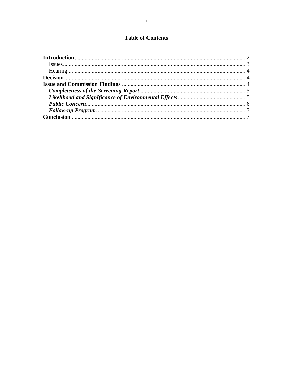# **Table of Contents**

| $Issues$ 3 |  |
|------------|--|
|            |  |
|            |  |
|            |  |
|            |  |
|            |  |
|            |  |
|            |  |
|            |  |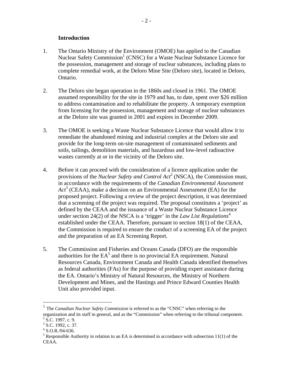#### **Introduction**

- 1. The Ontario Ministry of the Environment (OMOE) has applied to the Canadian Nuclear Safety Commission<sup>1</sup> (CNSC) for a Waste Nuclear Substance Licence for the possession, management and storage of nuclear substances, including plans to complete remedial work, at the Deloro Mine Site (Deloro site), located in Deloro, Ontario.
- 2. The Deloro site began operation in the 1860s and closed in 1961. The OMOE assumed responsibility for the site in 1979 and has, to date, spent over \$26 million to address contamination and to rehabilitate the property. A temporary exemption from licensing for the possession, management and storage of nuclear substances at the Deloro site was granted in 2001 and expires in December 2009.
- 3. The OMOE is seeking a Waste Nuclear Substance Licence that would allow it to remediate the abandoned mining and industrial complex at the Deloro site and provide for the long-term on-site management of contaminated sediments and soils, tailings, demolition materials, and hazardous and low-level radioactive wastes currently at or in the vicinity of the Deloro site.
- 4. Before it can proceed with the consideration of a licence application under the provisions of the *Nuclear Safety and Control Act*2 (NSCA), the Commission must, in accordance with the requirements of the *Canadian Environmental Assessment*  Act<sup>3</sup> (CEAA), make a decision on an Environmental Assessment (EA) for the proposed project. Following a review of the project description, it was determined that a screening of the project was required. The proposal constitutes a 'project' as defined by the CEAA and the issuance of a Waste Nuclear Substance Licence under section 24(2) of the NSCA is a 'trigger' in the *Law List Regulations*<sup>4</sup> established under the CEAA. Therefore, pursuant to section 18(1) of the CEAA, the Commission is required to ensure the conduct of a screening EA of the project and the preparation of an EA Screening Report.
- 5. The Commission and Fisheries and Oceans Canada (DFO) are the responsible authorities for the  $EA^5$  and there is no provincial  $EA$  requirement. Natural Resources Canada, Environment Canada and Health Canada identified themselves as federal authorities (FAs) for the purpose of providing expert assistance during the EA. Ontario's Ministry of Natural Resources, the Ministry of Northern Development and Mines, and the Hastings and Prince Edward Counties Health Unit also provided input.

 $\overline{a}$ 

<sup>1</sup> The *Canadian Nuclear Safety Commission* is referred to as the "CNSC" when referring to the organization and its staff in general, and as the "Commission" when referring to the tribunal component. <sup>2</sup>

 $^{2}$  S.C. 1997, c. 9. <sup>2</sup> S.C. 1997, c. 9.<br><sup>3</sup> S.C. 1992, c. 37.

 $4$  S.O.R./94-636.

<sup>&</sup>lt;sup>5</sup> Responsible Authority in relation to an EA is determined in accordance with subsection  $11(1)$  of the CEAA.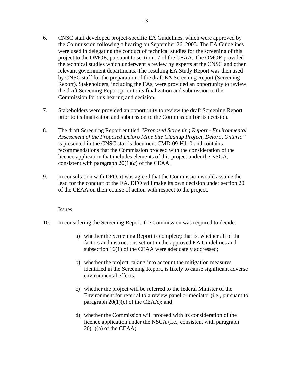- 6. CNSC staff developed project-specific EA Guidelines, which were approved by the Commission following a hearing on September 26, 2003. The EA Guidelines were used in delegating the conduct of technical studies for the screening of this project to the OMOE, pursuant to section 17 of the CEAA. The OMOE provided the technical studies which underwent a review by experts at the CNSC and other relevant government departments. The resulting EA Study Report was then used by CNSC staff for the preparation of the draft EA Screening Report (Screening Report). Stakeholders, including the FAs, were provided an opportunity to review the draft Screening Report prior to its finalization and submission to the Commission for this hearing and decision.
- 7. Stakeholders were provided an opportunity to review the draft Screening Report prior to its finalization and submission to the Commission for its decision.
- 8. The draft Screening Report entitled *"Proposed Screening Report Environmental Assessment of the Proposed Deloro Mine Site Cleanup Project, Deloro, Ontario"*  is presented in the CNSC staff's document CMD 09-H110 and contains recommendations that the Commission proceed with the consideration of the licence application that includes elements of this project under the NSCA, consistent with paragraph  $20(1)(a)$  of the CEAA.
- 9. In consultation with DFO, it was agreed that the Commission would assume the lead for the conduct of the EA. DFO will make its own decision under section 20 of the CEAA on their course of action with respect to the project.

#### **Issues**

- 10. In considering the Screening Report, the Commission was required to decide:
	- a) whether the Screening Report is complete**;** that is, whether all of the factors and instructions set out in the approved EA Guidelines and subsection 16(1) of the CEAA were adequately addressed;
	- b) whether the project, taking into account the mitigation measures identified in the Screening Report, is likely to cause significant adverse environmental effects;
	- c) whether the project will be referred to the federal Minister of the Environment for referral to a review panel or mediator (i.e., pursuant to paragraph  $20(1)(c)$  of the CEAA); and
	- d) whether the Commission will proceed with its consideration of the licence application under the NSCA (i.e., consistent with paragraph  $20(1)(a)$  of the CEAA).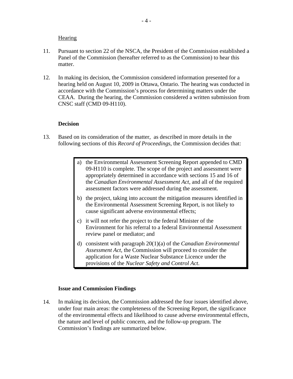#### **Hearing**

- 11. Pursuant to section 22 of the NSCA, the President of the Commission established a Panel of the Commission (hereafter referred to as the Commission) to hear this matter.
- 12. In making its decision, the Commission considered information presented for a hearing held on August 10, 2009 in Ottawa, Ontario. The hearing was conducted in accordance with the Commission's process for determining matters under the CEAA. During the hearing, the Commission considered a written submission from CNSC staff (CMD 09-H110).

#### **Decision**

- 13. Based on its consideration of the matter, as described in more details in the following sections of this *Record of Proceedings*, the Commission decides that:
	- a) the Environmental Assessment Screening Report appended to CMD 09-H110 is complete. The scope of the project and assessment were appropriately determined in accordance with sections 15 and 16 of the *Canadian Environmental Assessment Act*, and all of the required assessment factors were addressed during the assessment.
	- b) the project, taking into account the mitigation measures identified in the Environmental Assessment Screening Report, is not likely to cause significant adverse environmental effects;
	- c) it will not refer the project to the federal Minister of the Environment for his referral to a federal Environmental Assessment review panel or mediator; and
	- d) consistent with paragraph 20(1)(a) of the *Canadian Environmental Assessment Act*, the Commission will proceed to consider the application for a Waste Nuclear Substance Licence under the provisions of the *Nuclear Safety and Control Act*.

#### **Issue and Commission Findings**

14. In making its decision, the Commission addressed the four issues identified above, under four main areas: the completeness of the Screening Report, the significance of the environmental effects and likelihood to cause adverse environmental effects, the nature and level of public concern, and the follow-up program. The Commission's findings are summarized below.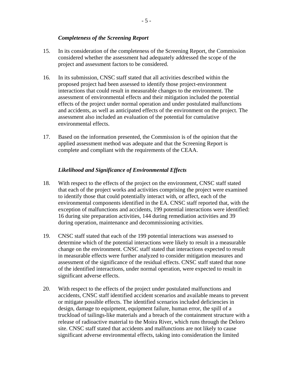#### *Completeness of the Screening Report*

- 15. In its consideration of the completeness of the Screening Report, the Commission considered whether the assessment had adequately addressed the scope of the project and assessment factors to be considered.
- 16. In its submission, CNSC staff stated that all activities described within the proposed project had been assessed to identify those project-environment interactions that could result in measurable changes to the environment. The assessment of environmental effects and their mitigation included the potential effects of the project under normal operation and under postulated malfunctions and accidents, as well as anticipated effects of the environment on the project. The assessment also included an evaluation of the potential for cumulative environmental effects.
- 17. Based on the information presented, the Commission is of the opinion that the applied assessment method was adequate and that the Screening Report is complete and compliant with the requirements of the CEAA.

## *Likelihood and Significance of Environmental Effects*

- 18. With respect to the effects of the project on the environment, CNSC staff stated that each of the project works and activities comprising the project were examined to identify those that could potentially interact with, or affect, each of the environmental components identified in the EA. CNSC staff reported that, with the exception of malfunctions and accidents, 199 potential interactions were identified: 16 during site preparation activities, 144 during remediation activities and 39 during operation, maintenance and decommissioning activities.
- 19. CNSC staff stated that each of the 199 potential interactions was assessed to determine which of the potential interactions were likely to result in a measurable change on the environment. CNSC staff stated that interactions expected to result in measurable effects were further analyzed to consider mitigation measures and assessment of the significance of the residual effects. CNSC staff stated that none of the identified interactions, under normal operation, were expected to result in significant adverse effects.
- 20. With respect to the effects of the project under postulated malfunctions and accidents, CNSC staff identified accident scenarios and available means to prevent or mitigate possible effects. The identified scenarios included deficiencies in design, damage to equipment, equipment failure, human error, the spill of a truckload of tailings-like materials and a breach of the containment structure with a release of radioactive material to the Moira River, which runs through the Deloro site. CNSC staff stated that accidents and malfunctions are not likely to cause significant adverse environmental effects, taking into consideration the limited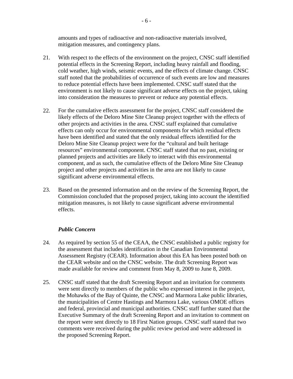amounts and types of radioactive and non-radioactive materials involved, mitigation measures, and contingency plans.

- 21. With respect to the effects of the environment on the project, CNSC staff identified potential effects in the Screening Report, including heavy rainfall and flooding, cold weather, high winds, seismic events, and the effects of climate change. CNSC staff noted that the probabilities of occurrence of such events are low and measures to reduce potential effects have been implemented. CNSC staff stated that the environment is not likely to cause significant adverse effects on the project, taking into consideration the measures to prevent or reduce any potential effects.
- 22. For the cumulative effects assessment for the project, CNSC staff considered the likely effects of the Deloro Mine Site Cleanup project together with the effects of other projects and activities in the area. CNSC staff explained that cumulative effects can only occur for environmental components for which residual effects have been identified and stated that the only residual effects identified for the Deloro Mine Site Cleanup project were for the "cultural and built heritage resources" environmental component. CNSC staff stated that no past, existing or planned projects and activities are likely to interact with this environmental component, and as such, the cumulative effects of the Deloro Mine Site Cleanup project and other projects and activities in the area are not likely to cause significant adverse environmental effects.
- 23. Based on the presented information and on the review of the Screening Report, the Commission concluded that the proposed project, taking into account the identified mitigation measures, is not likely to cause significant adverse environmental effects.

## *Public Concern*

- 24. As required by section 55 of the CEAA, the CNSC established a public registry for the assessment that includes identification in the Canadian Environmental Assessment Registry (CEAR). Information about this EA has been posted both on the CEAR website and on the CNSC website. The draft Screening Report was made available for review and comment from May 8, 2009 to June 8, 2009.
- 25. CNSC staff stated that the draft Screening Report and an invitation for comments were sent directly to members of the public who expressed interest in the project, the Mohawks of the Bay of Quinte, the CNSC and Marmora Lake public libraries, the municipalities of Centre Hastings and Marmora Lake, various OMOE offices and federal, provincial and municipal authorities. CNSC staff further stated that the Executive Summary of the draft Screening Report and an invitation to comment on the report were sent directly to 18 First Nation groups. CNSC staff stated that two comments were received during the public review period and were addressed in the proposed Screening Report.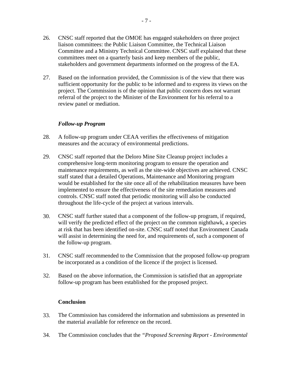- 26. CNSC staff reported that the OMOE has engaged stakeholders on three project liaison committees: the Public Liaison Committee, the Technical Liaison Committee and a Ministry Technical Committee. CNSC staff explained that these committees meet on a quarterly basis and keep members of the public, stakeholders and government departments informed on the progress of the EA.
- 27. Based on the information provided, the Commission is of the view that there was sufficient opportunity for the public to be informed and to express its views on the project. The Commission is of the opinion that public concern does not warrant referral of the project to the Minister of the Environment for his referral to a review panel or mediation.

## *Follow-up Program*

- 28. A follow-up program under CEAA verifies the effectiveness of mitigation measures and the accuracy of environmental predictions.
- 29. CNSC staff reported that the Deloro Mine Site Cleanup project includes a comprehensive long-term monitoring program to ensure the operation and maintenance requirements, as well as the site-wide objectives are achieved. CNSC staff stated that a detailed Operations, Maintenance and Monitoring program would be established for the site once all of the rehabilitation measures have been implemented to ensure the effectiveness of the site remediation measures and controls. CNSC staff noted that periodic monitoring will also be conducted throughout the life-cycle of the project at various intervals.
- 30. CNSC staff further stated that a component of the follow-up program, if required, will verify the predicted effect of the project on the common nighthawk, a species at risk that has been identified on-site. CNSC staff noted that Environment Canada will assist in determining the need for, and requirements of, such a component of the follow-up program.
- 31. CNSC staff recommended to the Commission that the proposed follow-up program be incorporated as a condition of the licence if the project is licensed.
- 32. Based on the above information, the Commission is satisfied that an appropriate follow-up program has been established for the proposed project.

#### **Conclusion**

- 33. The Commission has considered the information and submissions as presented in the material available for reference on the record.
- 34. The Commission concludes that the *"Proposed Screening Report Environmental*